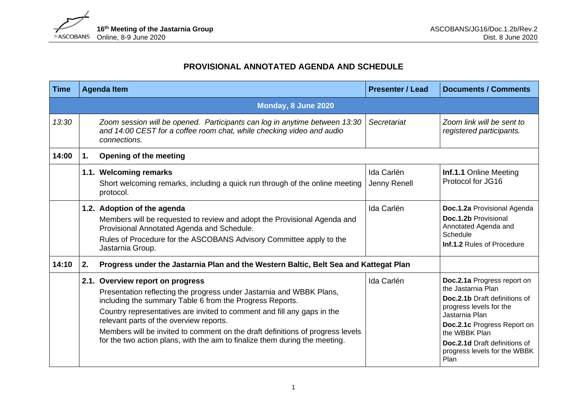

## **PROVISIONAL ANNOTATED AGENDA AND SCHEDULE**

| Time  |    | <b>Agenda Item</b>                                                                                                                                                                                                                                                                                                                                                                                                                                          | <b>Presenter / Lead</b>    | <b>Documents / Comments</b>                                                                                                                                                                                                                                     |
|-------|----|-------------------------------------------------------------------------------------------------------------------------------------------------------------------------------------------------------------------------------------------------------------------------------------------------------------------------------------------------------------------------------------------------------------------------------------------------------------|----------------------------|-----------------------------------------------------------------------------------------------------------------------------------------------------------------------------------------------------------------------------------------------------------------|
|       |    |                                                                                                                                                                                                                                                                                                                                                                                                                                                             |                            |                                                                                                                                                                                                                                                                 |
| 13:30 |    | Zoom session will be opened. Participants can log in anytime between 13:30<br>and 14:00 CEST for a coffee room chat, while checking video and audio<br>connections.                                                                                                                                                                                                                                                                                         | Secretariat                | Zoom link will be sent to<br>registered participants.                                                                                                                                                                                                           |
| 14:00 | 1. | <b>Opening of the meeting</b>                                                                                                                                                                                                                                                                                                                                                                                                                               |                            |                                                                                                                                                                                                                                                                 |
|       |    | 1.1. Welcoming remarks<br>Short welcoming remarks, including a quick run through of the online meeting<br>protocol.                                                                                                                                                                                                                                                                                                                                         | Ida Carlén<br>Jenny Renell | Inf.1.1 Online Meeting<br>Protocol for JG16                                                                                                                                                                                                                     |
|       |    | 1.2. Adoption of the agenda<br>Members will be requested to review and adopt the Provisional Agenda and<br>Provisional Annotated Agenda and Schedule.<br>Rules of Procedure for the ASCOBANS Advisory Committee apply to the<br>Jastarnia Group.                                                                                                                                                                                                            | Ida Carlén                 | Doc.1.2a Provisional Agenda<br>Doc.1.2b Provisional<br>Annotated Agenda and<br>Schedule<br>Inf.1.2 Rules of Procedure                                                                                                                                           |
| 14:10 | 2. | Progress under the Jastarnia Plan and the Western Baltic, Belt Sea and Kattegat Plan                                                                                                                                                                                                                                                                                                                                                                        |                            |                                                                                                                                                                                                                                                                 |
|       |    | 2.1. Overview report on progress<br>Presentation reflecting the progress under Jastarnia and WBBK Plans,<br>including the summary Table 6 from the Progress Reports.<br>Country representatives are invited to comment and fill any gaps in the<br>relevant parts of the overview reports.<br>Members will be invited to comment on the draft definitions of progress levels<br>for the two action plans, with the aim to finalize them during the meeting. | Ida Carlén                 | Doc.2.1a Progress report on<br>the Jastarnia Plan<br><b>Doc.2.1b</b> Draft definitions of<br>progress levels for the<br>Jastarnia Plan<br>Doc.2.1c Progress Report on<br>the WBBK Plan<br>Doc.2.1d Draft definitions of<br>progress levels for the WBBK<br>Plan |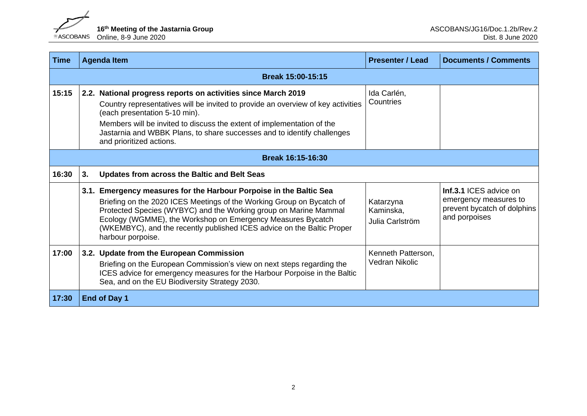

| <b>Time</b> |                                                    | <b>Agenda Item</b>                                                                                                                                                                                                                                                                                                                                                            | <b>Presenter / Lead</b>                   | <b>Documents / Comments</b>                                                                            |  |  |
|-------------|----------------------------------------------------|-------------------------------------------------------------------------------------------------------------------------------------------------------------------------------------------------------------------------------------------------------------------------------------------------------------------------------------------------------------------------------|-------------------------------------------|--------------------------------------------------------------------------------------------------------|--|--|
|             | <b>Break 15:00-15:15</b>                           |                                                                                                                                                                                                                                                                                                                                                                               |                                           |                                                                                                        |  |  |
| 15:15       |                                                    | 2.2. National progress reports on activities since March 2019<br>Country representatives will be invited to provide an overview of key activities<br>(each presentation 5-10 min).<br>Members will be invited to discuss the extent of implementation of the<br>Jastarnia and WBBK Plans, to share successes and to identify challenges<br>and prioritized actions.           | Ida Carlén,<br>Countries                  |                                                                                                        |  |  |
|             | Break 16:15-16:30                                  |                                                                                                                                                                                                                                                                                                                                                                               |                                           |                                                                                                        |  |  |
| 16:30       | 3.<br>Updates from across the Baltic and Belt Seas |                                                                                                                                                                                                                                                                                                                                                                               |                                           |                                                                                                        |  |  |
|             |                                                    | 3.1. Emergency measures for the Harbour Porpoise in the Baltic Sea<br>Briefing on the 2020 ICES Meetings of the Working Group on Bycatch of<br>Protected Species (WYBYC) and the Working group on Marine Mammal<br>Ecology (WGMME), the Workshop on Emergency Measures Bycatch<br>(WKEMBYC), and the recently published ICES advice on the Baltic Proper<br>harbour porpoise. | Katarzyna<br>Kaminska,<br>Julia Carlström | <b>Inf.3.1 ICES advice on</b><br>emergency measures to<br>prevent bycatch of dolphins<br>and porpoises |  |  |
| 17:00       |                                                    | 3.2. Update from the European Commission<br>Briefing on the European Commission's view on next steps regarding the<br>ICES advice for emergency measures for the Harbour Porpoise in the Baltic<br>Sea, and on the EU Biodiversity Strategy 2030.                                                                                                                             | Kenneth Patterson,<br>Vedran Nikolic      |                                                                                                        |  |  |
| 17:30       |                                                    | End of Day 1                                                                                                                                                                                                                                                                                                                                                                  |                                           |                                                                                                        |  |  |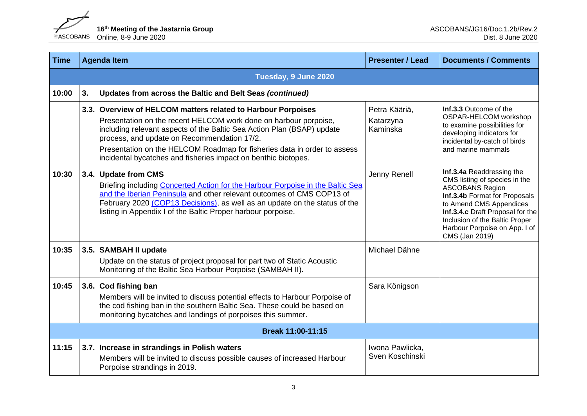

| <b>Time</b> |                      | <b>Agenda Item</b>                                                                                                                                                                                                                                                                                                                                                                                      | <b>Presenter / Lead</b>                | <b>Documents / Comments</b>                                                                                                                                                                                                                                               |  |
|-------------|----------------------|---------------------------------------------------------------------------------------------------------------------------------------------------------------------------------------------------------------------------------------------------------------------------------------------------------------------------------------------------------------------------------------------------------|----------------------------------------|---------------------------------------------------------------------------------------------------------------------------------------------------------------------------------------------------------------------------------------------------------------------------|--|
|             | Tuesday, 9 June 2020 |                                                                                                                                                                                                                                                                                                                                                                                                         |                                        |                                                                                                                                                                                                                                                                           |  |
| 10:00       | 3.                   | Updates from across the Baltic and Belt Seas (continued)                                                                                                                                                                                                                                                                                                                                                |                                        |                                                                                                                                                                                                                                                                           |  |
|             |                      | 3.3. Overview of HELCOM matters related to Harbour Porpoises<br>Presentation on the recent HELCOM work done on harbour porpoise,<br>including relevant aspects of the Baltic Sea Action Plan (BSAP) update<br>process, and update on Recommendation 17/2.<br>Presentation on the HELCOM Roadmap for fisheries data in order to assess<br>incidental bycatches and fisheries impact on benthic biotopes. | Petra Kääriä,<br>Katarzyna<br>Kaminska | Inf.3.3 Outcome of the<br>OSPAR-HELCOM workshop<br>to examine possibilities for<br>developing indicators for<br>incidental by-catch of birds<br>and marine mammals                                                                                                        |  |
| 10:30       |                      | 3.4. Update from CMS<br>Briefing including Concerted Action for the Harbour Porpoise in the Baltic Sea<br>and the Iberian Peninsula and other relevant outcomes of CMS COP13 of<br>February 2020 (COP13 Decisions), as well as an update on the status of the<br>listing in Appendix I of the Baltic Proper harbour porpoise.                                                                           | Jenny Renell                           | Inf.3.4a Readdressing the<br>CMS listing of species in the<br><b>ASCOBANS Region</b><br>Inf.3.4b Format for Proposals<br>to Amend CMS Appendices<br>Inf.3.4.c Draft Proposal for the<br>Inclusion of the Baltic Proper<br>Harbour Porpoise on App. I of<br>CMS (Jan 2019) |  |
| 10:35       |                      | 3.5. SAMBAH II update<br>Update on the status of project proposal for part two of Static Acoustic<br>Monitoring of the Baltic Sea Harbour Porpoise (SAMBAH II).                                                                                                                                                                                                                                         | Michael Dähne                          |                                                                                                                                                                                                                                                                           |  |
| 10:45       |                      | 3.6. Cod fishing ban<br>Members will be invited to discuss potential effects to Harbour Porpoise of<br>the cod fishing ban in the southern Baltic Sea. These could be based on<br>monitoring bycatches and landings of porpoises this summer.                                                                                                                                                           | Sara Königson                          |                                                                                                                                                                                                                                                                           |  |
|             | Break 11:00-11:15    |                                                                                                                                                                                                                                                                                                                                                                                                         |                                        |                                                                                                                                                                                                                                                                           |  |
| 11:15       |                      | 3.7. Increase in strandings in Polish waters<br>Members will be invited to discuss possible causes of increased Harbour<br>Porpoise strandings in 2019.                                                                                                                                                                                                                                                 | Iwona Pawlicka,<br>Sven Koschinski     |                                                                                                                                                                                                                                                                           |  |